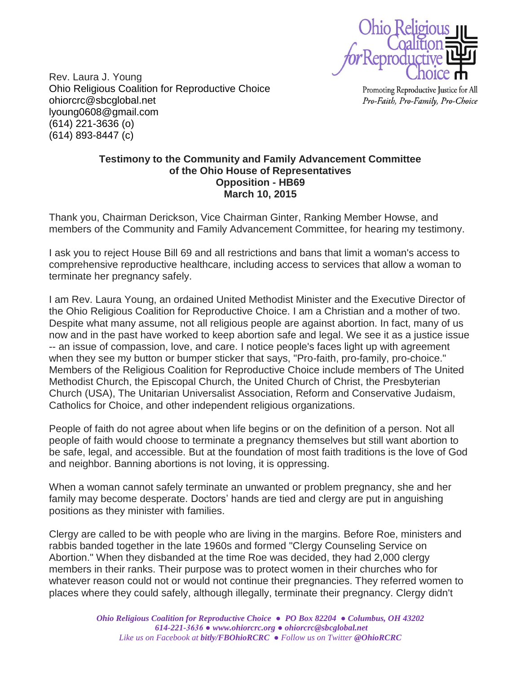

Rev. Laura J. Young Ohio Religious Coalition for Reproductive Choice [ohiorcrc@sbcglobal.net](mailto:ohiorcrc@sbcglobal.net) [lyoung0608@gmail.com](mailto:lyoung0608@gmail.com) [\(614\) 221-3636](tel:%28614%29%20221-3636) (o) [\(614\) 893-8447](tel:%28614%29%20893-8447) (c)

Promoting Reproductive Justice for All Pro-Faith, Pro-Family, Pro-Choice

## **Testimony to the Community and Family Advancement Committee of the Ohio House of Representatives Opposition - HB69 March 10, 2015**

Thank you, Chairman Derickson, Vice Chairman Ginter, Ranking Member Howse, and members of the Community and Family Advancement Committee, for hearing my testimony.

I ask you to reject House Bill 69 and all restrictions and bans that limit a woman's access to comprehensive reproductive healthcare, including access to services that allow a woman to terminate her pregnancy safely.

I am Rev. Laura Young, an ordained United Methodist Minister and the Executive Director of the Ohio Religious Coalition for Reproductive Choice. I am a Christian and a mother of two. Despite what many assume, not all religious people are against abortion. In fact, many of us now and in the past have worked to keep abortion safe and legal. We see it as a justice issue -- an issue of compassion, love, and care. I notice people's faces light up with agreement when they see my button or bumper sticker that says, "Pro-faith, pro-family, pro-choice." Members of the Religious Coalition for Reproductive Choice include members of The United Methodist Church, the Episcopal Church, the United Church of Christ, the Presbyterian Church (USA), The Unitarian Universalist Association, Reform and Conservative Judaism, Catholics for Choice, and other independent religious organizations.

People of faith do not agree about when life begins or on the definition of a person. Not all people of faith would choose to terminate a pregnancy themselves but still want abortion to be safe, legal, and accessible. But at the foundation of most faith traditions is the love of God and neighbor. Banning abortions is not loving, it is oppressing.

When a woman cannot safely terminate an unwanted or problem pregnancy, she and her family may become desperate. Doctors' hands are tied and clergy are put in anguishing positions as they minister with families.

Clergy are called to be with people who are living in the margins. Before Roe, ministers and rabbis banded together in the late 1960s and formed "Clergy Counseling Service on Abortion." When they disbanded at the time Roe was decided, they had 2,000 clergy members in their ranks. Their purpose was to protect women in their churches who for whatever reason could not or would not continue their pregnancies. They referred women to places where they could safely, although illegally, terminate their pregnancy. Clergy didn't